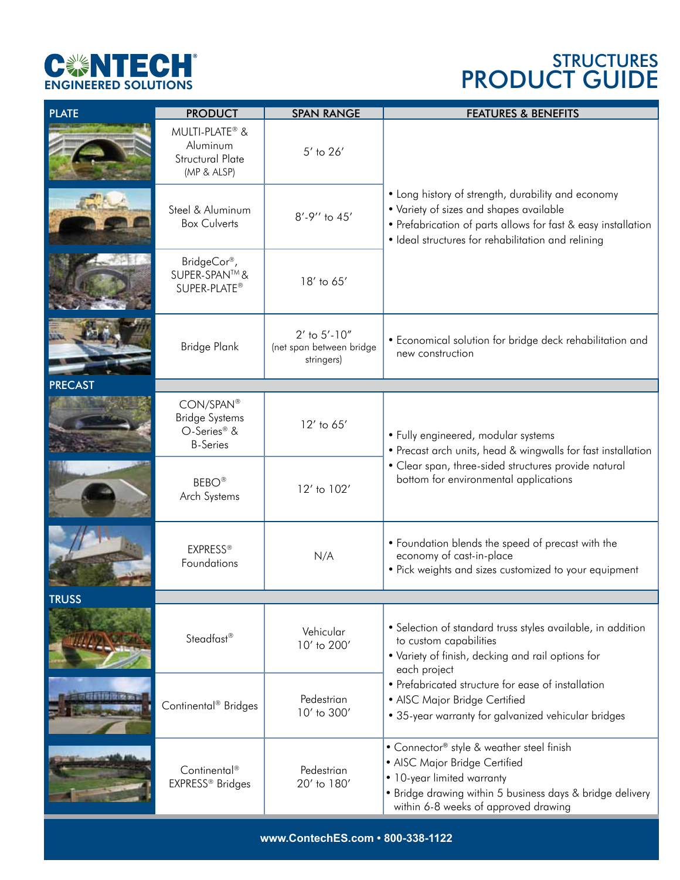

## S PRODUCT GUIDE

| <b>PLATE</b>   | <b>PRODUCT</b>                                                                   | <b>SPAN RANGE</b>                                           | <b>FEATURES &amp; BENEFITS</b>                                                                                                                                                                                       |
|----------------|----------------------------------------------------------------------------------|-------------------------------------------------------------|----------------------------------------------------------------------------------------------------------------------------------------------------------------------------------------------------------------------|
|                | MULTI-PLATE® &<br>Aluminum<br><b>Structural Plate</b><br>(MP & ALSP)             | $5'$ to $26'$                                               |                                                                                                                                                                                                                      |
|                | Steel & Aluminum<br><b>Box Culverts</b>                                          | 8'-9" to 45'                                                | • Long history of strength, durability and economy<br>• Variety of sizes and shapes available<br>• Prefabrication of parts allows for fast & easy installation<br>· Ideal structures for rehabilitation and relining |
|                | BridgeCor®,<br>SUPER-SPAN™&<br>SUPER-PLATE®                                      | 18' to 65'                                                  |                                                                                                                                                                                                                      |
|                | Bridge Plank                                                                     | $2'$ to $5'$ -10"<br>(net span between bridge<br>stringers) | • Economical solution for bridge deck rehabilitation and<br>new construction                                                                                                                                         |
| <b>PRECAST</b> |                                                                                  |                                                             |                                                                                                                                                                                                                      |
|                | CON/SPAN®<br><b>Bridge Systems</b><br>O-Series <sup>®</sup> &<br><b>B-Series</b> | 12' to 65'                                                  | • Fully engineered, modular systems<br>• Precast arch units, head & wingwalls for fast installation                                                                                                                  |
|                | <b>BEBO®</b><br>Arch Systems                                                     | 12' to 102'                                                 | • Clear span, three-sided structures provide natural<br>bottom for environmental applications                                                                                                                        |
|                | <b>EXPRESS®</b><br>Foundations                                                   | N/A                                                         | • Foundation blends the speed of precast with the<br>economy of cast-in-place<br>• Pick weights and sizes customized to your equipment                                                                               |
| <b>TRIJSS</b>  |                                                                                  |                                                             |                                                                                                                                                                                                                      |
|                | Steadfast <sup>®</sup>                                                           | Vehicular<br>10' to 200'                                    | • Selection of standard truss styles available, in addition<br>to custom capabilities<br>• Variety of finish, decking and rail options for<br>each project                                                           |
|                | Continental <sup>®</sup> Bridges                                                 | Pedestrian<br>10' to 300'                                   | • Prefabricated structure for ease of installation<br>• AISC Major Bridge Certified<br>• 35-year warranty for galvanized vehicular bridges                                                                           |
|                | Continental <sup>®</sup><br>EXPRESS® Bridges                                     | Pedestrian<br>20' to 180'                                   | • Connector® style & weather steel finish<br>• AISC Major Bridge Certified<br>• 10-year limited warranty<br>• Bridge drawing within 5 business days & bridge delivery<br>within 6-8 weeks of approved drawing        |